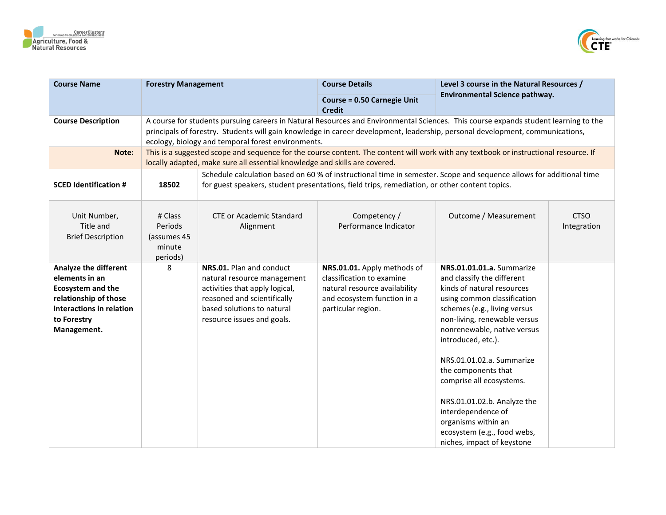



| <b>Course Name</b>                                                                                                                                     | <b>Forestry Management</b>                              |                                                                                                                                                                                                                                                                                                                            | <b>Course Details</b>                                                                                                                                                                                                | Level 3 course in the Natural Resources /                                                                                                                                                                                                                                                                                                                                                                                                                          |                            |  |  |
|--------------------------------------------------------------------------------------------------------------------------------------------------------|---------------------------------------------------------|----------------------------------------------------------------------------------------------------------------------------------------------------------------------------------------------------------------------------------------------------------------------------------------------------------------------------|----------------------------------------------------------------------------------------------------------------------------------------------------------------------------------------------------------------------|--------------------------------------------------------------------------------------------------------------------------------------------------------------------------------------------------------------------------------------------------------------------------------------------------------------------------------------------------------------------------------------------------------------------------------------------------------------------|----------------------------|--|--|
|                                                                                                                                                        |                                                         |                                                                                                                                                                                                                                                                                                                            | <b>Course = 0.50 Carnegie Unit</b><br><b>Credit</b>                                                                                                                                                                  | Environmental Science pathway.                                                                                                                                                                                                                                                                                                                                                                                                                                     |                            |  |  |
| <b>Course Description</b>                                                                                                                              |                                                         | A course for students pursuing careers in Natural Resources and Environmental Sciences. This course expands student learning to the<br>principals of forestry. Students will gain knowledge in career development, leadership, personal development, communications,<br>ecology, biology and temporal forest environments. |                                                                                                                                                                                                                      |                                                                                                                                                                                                                                                                                                                                                                                                                                                                    |                            |  |  |
| Note:                                                                                                                                                  |                                                         | This is a suggested scope and sequence for the course content. The content will work with any textbook or instructional resource. If<br>locally adapted, make sure all essential knowledge and skills are covered.                                                                                                         |                                                                                                                                                                                                                      |                                                                                                                                                                                                                                                                                                                                                                                                                                                                    |                            |  |  |
| <b>SCED Identification #</b>                                                                                                                           | 18502                                                   |                                                                                                                                                                                                                                                                                                                            | Schedule calculation based on 60 % of instructional time in semester. Scope and sequence allows for additional time<br>for guest speakers, student presentations, field trips, remediation, or other content topics. |                                                                                                                                                                                                                                                                                                                                                                                                                                                                    |                            |  |  |
| Unit Number,<br>Title and<br><b>Brief Description</b>                                                                                                  | # Class<br>Periods<br>(assumes 45<br>minute<br>periods) | <b>CTE or Academic Standard</b><br>Alignment                                                                                                                                                                                                                                                                               | Competency /<br>Performance Indicator                                                                                                                                                                                | Outcome / Measurement                                                                                                                                                                                                                                                                                                                                                                                                                                              | <b>CTSO</b><br>Integration |  |  |
| Analyze the different<br>elements in an<br><b>Ecosystem and the</b><br>relationship of those<br>interactions in relation<br>to Forestry<br>Management. | 8                                                       | NRS.01. Plan and conduct<br>natural resource management<br>activities that apply logical,<br>reasoned and scientifically<br>based solutions to natural<br>resource issues and goals.                                                                                                                                       | NRS.01.01. Apply methods of<br>classification to examine<br>natural resource availability<br>and ecosystem function in a<br>particular region.                                                                       | NRS.01.01.01.a. Summarize<br>and classify the different<br>kinds of natural resources<br>using common classification<br>schemes (e.g., living versus<br>non-living, renewable versus<br>nonrenewable, native versus<br>introduced, etc.).<br>NRS.01.01.02.a. Summarize<br>the components that<br>comprise all ecosystems.<br>NRS.01.01.02.b. Analyze the<br>interdependence of<br>organisms within an<br>ecosystem (e.g., food webs,<br>niches, impact of keystone |                            |  |  |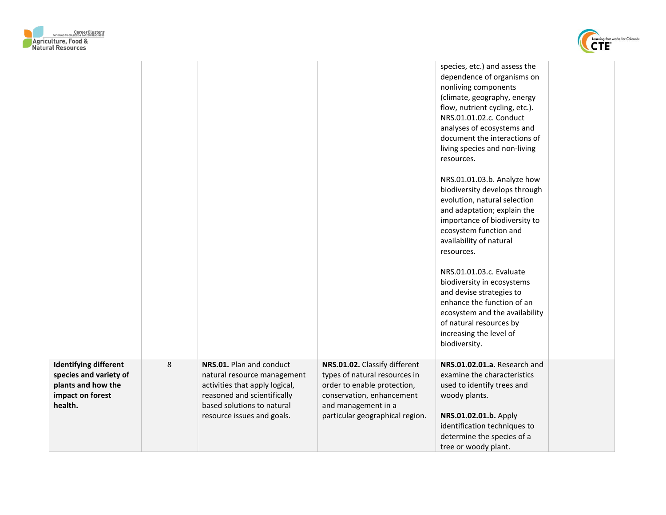



|                                                                                                             |   |                                                                                                                                                                                      |                                                                                                                                                                                      | species, etc.) and assess the<br>dependence of organisms on<br>nonliving components<br>(climate, geography, energy<br>flow, nutrient cycling, etc.).<br>NRS.01.01.02.c. Conduct<br>analyses of ecosystems and<br>document the interactions of<br>living species and non-living<br>resources. |
|-------------------------------------------------------------------------------------------------------------|---|--------------------------------------------------------------------------------------------------------------------------------------------------------------------------------------|--------------------------------------------------------------------------------------------------------------------------------------------------------------------------------------|----------------------------------------------------------------------------------------------------------------------------------------------------------------------------------------------------------------------------------------------------------------------------------------------|
|                                                                                                             |   |                                                                                                                                                                                      |                                                                                                                                                                                      | NRS.01.01.03.b. Analyze how<br>biodiversity develops through<br>evolution, natural selection<br>and adaptation; explain the<br>importance of biodiversity to<br>ecosystem function and<br>availability of natural<br>resources.                                                              |
|                                                                                                             |   |                                                                                                                                                                                      |                                                                                                                                                                                      | NRS.01.01.03.c. Evaluate<br>biodiversity in ecosystems<br>and devise strategies to<br>enhance the function of an<br>ecosystem and the availability<br>of natural resources by<br>increasing the level of<br>biodiversity.                                                                    |
| <b>Identifying different</b><br>species and variety of<br>plants and how the<br>impact on forest<br>health. | 8 | NRS.01. Plan and conduct<br>natural resource management<br>activities that apply logical,<br>reasoned and scientifically<br>based solutions to natural<br>resource issues and goals. | NRS.01.02. Classify different<br>types of natural resources in<br>order to enable protection,<br>conservation, enhancement<br>and management in a<br>particular geographical region. | NRS.01.02.01.a. Research and<br>examine the characteristics<br>used to identify trees and<br>woody plants.<br>NRS.01.02.01.b. Apply<br>identification techniques to<br>determine the species of a<br>tree or woody plant.                                                                    |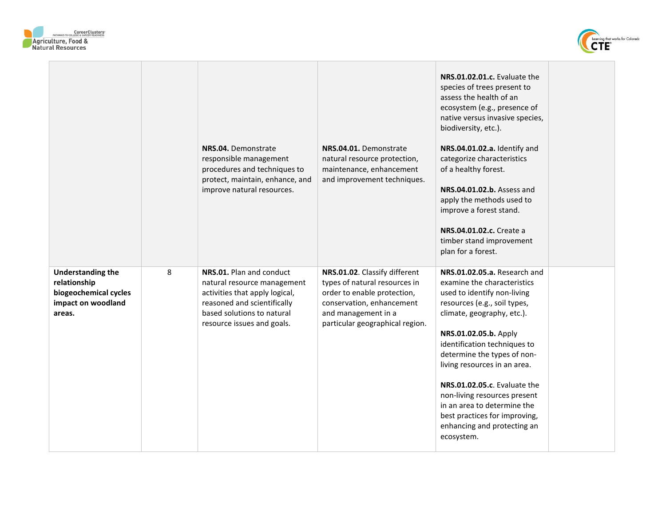



|                                                                                                   |   | NRS.04. Demonstrate<br>responsible management<br>procedures and techniques to<br>protect, maintain, enhance, and<br>improve natural resources.                                       | NRS.04.01. Demonstrate<br>natural resource protection,<br>maintenance, enhancement<br>and improvement techniques.                                                                    | NRS.01.02.01.c. Evaluate the<br>species of trees present to<br>assess the health of an<br>ecosystem (e.g., presence of<br>native versus invasive species,<br>biodiversity, etc.).<br>NRS.04.01.02.a. Identify and<br>categorize characteristics<br>of a healthy forest.<br>NRS.04.01.02.b. Assess and<br>apply the methods used to<br>improve a forest stand.<br><b>NRS.04.01.02.c.</b> Create a<br>timber stand improvement<br>plan for a forest.            |  |
|---------------------------------------------------------------------------------------------------|---|--------------------------------------------------------------------------------------------------------------------------------------------------------------------------------------|--------------------------------------------------------------------------------------------------------------------------------------------------------------------------------------|---------------------------------------------------------------------------------------------------------------------------------------------------------------------------------------------------------------------------------------------------------------------------------------------------------------------------------------------------------------------------------------------------------------------------------------------------------------|--|
| <b>Understanding the</b><br>relationship<br>biogeochemical cycles<br>impact on woodland<br>areas. | 8 | NRS.01. Plan and conduct<br>natural resource management<br>activities that apply logical,<br>reasoned and scientifically<br>based solutions to natural<br>resource issues and goals. | NRS.01.02. Classify different<br>types of natural resources in<br>order to enable protection,<br>conservation, enhancement<br>and management in a<br>particular geographical region. | NRS.01.02.05.a. Research and<br>examine the characteristics<br>used to identify non-living<br>resources (e.g., soil types,<br>climate, geography, etc.).<br>NRS.01.02.05.b. Apply<br>identification techniques to<br>determine the types of non-<br>living resources in an area.<br>NRS.01.02.05.c. Evaluate the<br>non-living resources present<br>in an area to determine the<br>best practices for improving,<br>enhancing and protecting an<br>ecosystem. |  |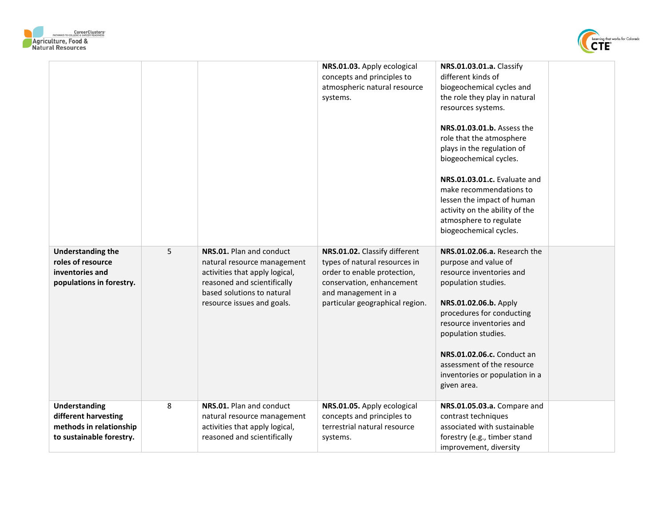



|                                                                                                     |   |                                                                                                                                                                                      | NRS.01.03. Apply ecological<br>concepts and principles to<br>atmospheric natural resource<br>systems.                                                                                | NRS.01.03.01.a. Classify<br>different kinds of<br>biogeochemical cycles and<br>the role they play in natural<br>resources systems.<br>NRS.01.03.01.b. Assess the<br>role that the atmosphere<br>plays in the regulation of<br>biogeochemical cycles.<br>NRS.01.03.01.c. Evaluate and<br>make recommendations to<br>lessen the impact of human<br>activity on the ability of the<br>atmosphere to regulate<br>biogeochemical cycles. |
|-----------------------------------------------------------------------------------------------------|---|--------------------------------------------------------------------------------------------------------------------------------------------------------------------------------------|--------------------------------------------------------------------------------------------------------------------------------------------------------------------------------------|-------------------------------------------------------------------------------------------------------------------------------------------------------------------------------------------------------------------------------------------------------------------------------------------------------------------------------------------------------------------------------------------------------------------------------------|
| <b>Understanding the</b><br>roles of resource<br>inventories and<br>populations in forestry.        | 5 | NRS.01. Plan and conduct<br>natural resource management<br>activities that apply logical,<br>reasoned and scientifically<br>based solutions to natural<br>resource issues and goals. | NRS.01.02. Classify different<br>types of natural resources in<br>order to enable protection,<br>conservation, enhancement<br>and management in a<br>particular geographical region. | NRS.01.02.06.a. Research the<br>purpose and value of<br>resource inventories and<br>population studies.<br>NRS.01.02.06.b. Apply<br>procedures for conducting<br>resource inventories and<br>population studies.<br><b>NRS.01.02.06.c.</b> Conduct an<br>assessment of the resource<br>inventories or population in a<br>given area.                                                                                                |
| <b>Understanding</b><br>different harvesting<br>methods in relationship<br>to sustainable forestry. | 8 | NRS.01. Plan and conduct<br>natural resource management<br>activities that apply logical,<br>reasoned and scientifically                                                             | NRS.01.05. Apply ecological<br>concepts and principles to<br>terrestrial natural resource<br>systems.                                                                                | NRS.01.05.03.a. Compare and<br>contrast techniques<br>associated with sustainable<br>forestry (e.g., timber stand<br>improvement, diversity                                                                                                                                                                                                                                                                                         |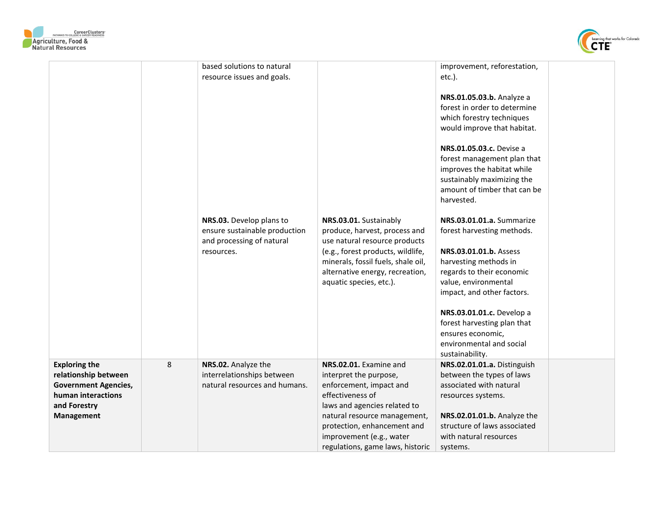



|                                                                                                                                        |   | based solutions to natural<br>resource issues and goals.<br>NRS.03. Develop plans to<br>ensure sustainable production<br>and processing of natural<br>resources. | NRS.03.01. Sustainably<br>produce, harvest, process and<br>use natural resource products<br>(e.g., forest products, wildlife,<br>minerals, fossil fuels, shale oil,<br>alternative energy, recreation,<br>aquatic species, etc.).                              | improvement, reforestation,<br>$etc.$ ).<br>NRS.01.05.03.b. Analyze a<br>forest in order to determine<br>which forestry techniques<br>would improve that habitat.<br>NRS.01.05.03.c. Devise a<br>forest management plan that<br>improves the habitat while<br>sustainably maximizing the<br>amount of timber that can be<br>harvested.<br>NRS.03.01.01.a. Summarize<br>forest harvesting methods.<br>NRS.03.01.01.b. Assess<br>harvesting methods in<br>regards to their economic<br>value, environmental<br>impact, and other factors.<br>NRS.03.01.01.c. Develop a<br>forest harvesting plan that |  |
|----------------------------------------------------------------------------------------------------------------------------------------|---|------------------------------------------------------------------------------------------------------------------------------------------------------------------|----------------------------------------------------------------------------------------------------------------------------------------------------------------------------------------------------------------------------------------------------------------|-----------------------------------------------------------------------------------------------------------------------------------------------------------------------------------------------------------------------------------------------------------------------------------------------------------------------------------------------------------------------------------------------------------------------------------------------------------------------------------------------------------------------------------------------------------------------------------------------------|--|
|                                                                                                                                        |   |                                                                                                                                                                  |                                                                                                                                                                                                                                                                | ensures economic,<br>environmental and social<br>sustainability.                                                                                                                                                                                                                                                                                                                                                                                                                                                                                                                                    |  |
| <b>Exploring the</b><br>relationship between<br><b>Government Agencies,</b><br>human interactions<br>and Forestry<br><b>Management</b> | 8 | NRS.02. Analyze the<br>interrelationships between<br>natural resources and humans.                                                                               | NRS.02.01. Examine and<br>interpret the purpose,<br>enforcement, impact and<br>effectiveness of<br>laws and agencies related to<br>natural resource management,<br>protection, enhancement and<br>improvement (e.g., water<br>regulations, game laws, historic | NRS.02.01.01.a. Distinguish<br>between the types of laws<br>associated with natural<br>resources systems.<br>NRS.02.01.01.b. Analyze the<br>structure of laws associated<br>with natural resources<br>systems.                                                                                                                                                                                                                                                                                                                                                                                      |  |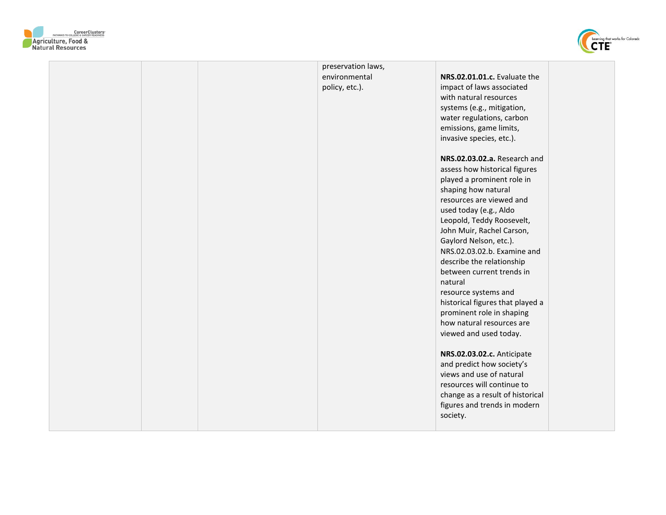



| preservation laws, |                                                        |
|--------------------|--------------------------------------------------------|
| environmental      | NRS.02.01.01.c. Evaluate the                           |
| policy, etc.).     | impact of laws associated                              |
|                    | with natural resources                                 |
|                    | systems (e.g., mitigation,                             |
|                    | water regulations, carbon                              |
|                    | emissions, game limits,                                |
|                    | invasive species, etc.).                               |
|                    |                                                        |
|                    | NRS.02.03.02.a. Research and                           |
|                    | assess how historical figures                          |
|                    | played a prominent role in                             |
|                    | shaping how natural                                    |
|                    | resources are viewed and                               |
|                    | used today (e.g., Aldo                                 |
|                    | Leopold, Teddy Roosevelt,                              |
|                    | John Muir, Rachel Carson,                              |
|                    | Gaylord Nelson, etc.).                                 |
|                    | NRS.02.03.02.b. Examine and                            |
|                    | describe the relationship                              |
|                    | between current trends in                              |
|                    | natural                                                |
|                    | resource systems and                                   |
|                    | historical figures that played a                       |
|                    |                                                        |
|                    | prominent role in shaping<br>how natural resources are |
|                    |                                                        |
|                    | viewed and used today.                                 |
|                    | NRS.02.03.02.c. Anticipate                             |
|                    | and predict how society's                              |
|                    | views and use of natural                               |
|                    | resources will continue to                             |
|                    |                                                        |
|                    | change as a result of historical                       |
|                    | figures and trends in modern                           |
|                    | society.                                               |
|                    |                                                        |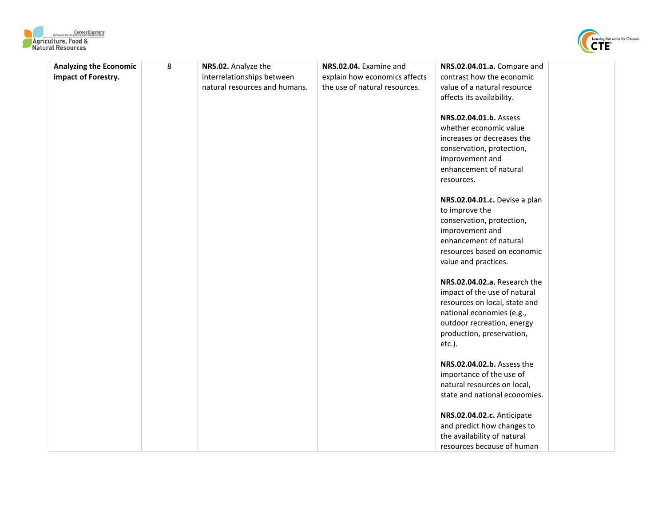



| 8<br><b>Analyzing the Economic</b> | NRS.02. Analyze the           | NRS.02.04. Examine and        | NRS.02.04.01.a. Compare and   |  |
|------------------------------------|-------------------------------|-------------------------------|-------------------------------|--|
| impact of Forestry.                | interrelationships between    | explain how economics affects | contrast how the economic     |  |
|                                    | natural resources and humans. | the use of natural resources. | value of a natural resource   |  |
|                                    |                               |                               | affects its availability.     |  |
|                                    |                               |                               |                               |  |
|                                    |                               |                               | NRS.02.04.01.b. Assess        |  |
|                                    |                               |                               | whether economic value        |  |
|                                    |                               |                               | increases or decreases the    |  |
|                                    |                               |                               | conservation, protection,     |  |
|                                    |                               |                               | improvement and               |  |
|                                    |                               |                               | enhancement of natural        |  |
|                                    |                               |                               | resources.                    |  |
|                                    |                               |                               |                               |  |
|                                    |                               |                               | NRS.02.04.01.c. Devise a plan |  |
|                                    |                               |                               | to improve the                |  |
|                                    |                               |                               | conservation, protection,     |  |
|                                    |                               |                               | improvement and               |  |
|                                    |                               |                               | enhancement of natural        |  |
|                                    |                               |                               | resources based on economic   |  |
|                                    |                               |                               | value and practices.          |  |
|                                    |                               |                               |                               |  |
|                                    |                               |                               | NRS.02.04.02.a. Research the  |  |
|                                    |                               |                               | impact of the use of natural  |  |
|                                    |                               |                               | resources on local, state and |  |
|                                    |                               |                               | national economies (e.g.,     |  |
|                                    |                               |                               | outdoor recreation, energy    |  |
|                                    |                               |                               | production, preservation,     |  |
|                                    |                               |                               | etc.).                        |  |
|                                    |                               |                               |                               |  |
|                                    |                               |                               | NRS.02.04.02.b. Assess the    |  |
|                                    |                               |                               | importance of the use of      |  |
|                                    |                               |                               | natural resources on local,   |  |
|                                    |                               |                               | state and national economies. |  |
|                                    |                               |                               |                               |  |
|                                    |                               |                               | NRS.02.04.02.c. Anticipate    |  |
|                                    |                               |                               | and predict how changes to    |  |
|                                    |                               |                               | the availability of natural   |  |
|                                    |                               |                               | resources because of human    |  |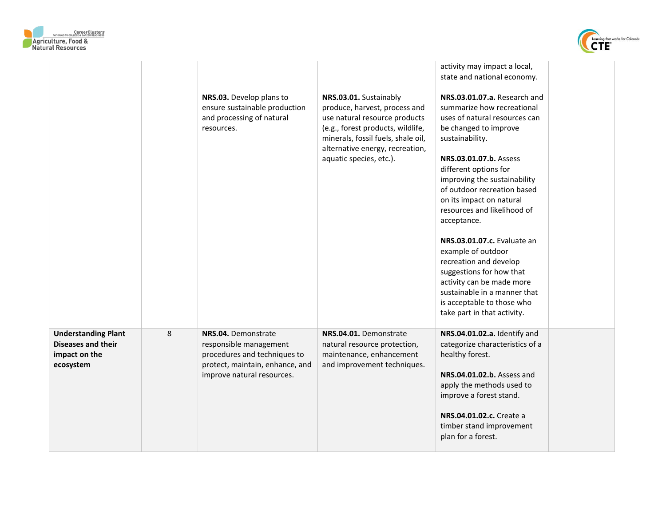



|                                                                                       |   | NRS.03. Develop plans to<br>ensure sustainable production                                                                                      | NRS.03.01. Sustainably<br>produce, harvest, process and                                                                                     | activity may impact a local,<br>state and national economy.<br>NRS.03.01.07.a. Research and<br>summarize how recreational                                                |  |
|---------------------------------------------------------------------------------------|---|------------------------------------------------------------------------------------------------------------------------------------------------|---------------------------------------------------------------------------------------------------------------------------------------------|--------------------------------------------------------------------------------------------------------------------------------------------------------------------------|--|
|                                                                                       |   | and processing of natural<br>resources.                                                                                                        | use natural resource products<br>(e.g., forest products, wildlife,<br>minerals, fossil fuels, shale oil,<br>alternative energy, recreation, | uses of natural resources can<br>be changed to improve<br>sustainability.                                                                                                |  |
|                                                                                       |   |                                                                                                                                                | aquatic species, etc.).                                                                                                                     | NRS.03.01.07.b. Assess<br>different options for<br>improving the sustainability<br>of outdoor recreation based<br>on its impact on natural                               |  |
|                                                                                       |   |                                                                                                                                                |                                                                                                                                             | resources and likelihood of<br>acceptance.<br><b>NRS.03.01.07.c.</b> Evaluate an                                                                                         |  |
|                                                                                       |   |                                                                                                                                                |                                                                                                                                             | example of outdoor<br>recreation and develop<br>suggestions for how that<br>activity can be made more                                                                    |  |
|                                                                                       |   |                                                                                                                                                |                                                                                                                                             | sustainable in a manner that<br>is acceptable to those who<br>take part in that activity.                                                                                |  |
| <b>Understanding Plant</b><br><b>Diseases and their</b><br>impact on the<br>ecosystem | 8 | NRS.04. Demonstrate<br>responsible management<br>procedures and techniques to<br>protect, maintain, enhance, and<br>improve natural resources. | NRS.04.01. Demonstrate<br>natural resource protection,<br>maintenance, enhancement<br>and improvement techniques.                           | NRS.04.01.02.a. Identify and<br>categorize characteristics of a<br>healthy forest.<br>NRS.04.01.02.b. Assess and<br>apply the methods used to<br>improve a forest stand. |  |
|                                                                                       |   |                                                                                                                                                |                                                                                                                                             | NRS.04.01.02.c. Create a<br>timber stand improvement<br>plan for a forest.                                                                                               |  |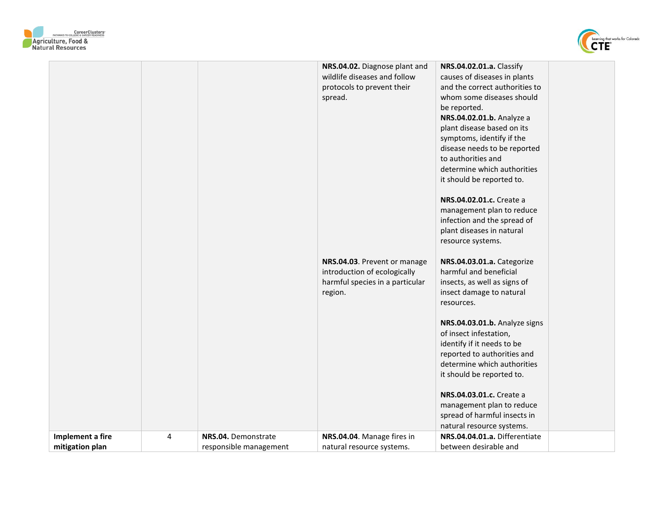



|                  |   |                        | NRS.04.02. Diagnose plant and<br>wildlife diseases and follow<br>protocols to prevent their<br>spread.     | NRS.04.02.01.a. Classify<br>causes of diseases in plants<br>and the correct authorities to<br>whom some diseases should<br>be reported.<br>NRS.04.02.01.b. Analyze a<br>plant disease based on its<br>symptoms, identify if the<br>disease needs to be reported<br>to authorities and<br>determine which authorities<br>it should be reported to.<br>NRS.04.02.01.c. Create a<br>management plan to reduce<br>infection and the spread of<br>plant diseases in natural<br>resource systems. |
|------------------|---|------------------------|------------------------------------------------------------------------------------------------------------|---------------------------------------------------------------------------------------------------------------------------------------------------------------------------------------------------------------------------------------------------------------------------------------------------------------------------------------------------------------------------------------------------------------------------------------------------------------------------------------------|
|                  |   |                        | NRS.04.03. Prevent or manage<br>introduction of ecologically<br>harmful species in a particular<br>region. | NRS.04.03.01.a. Categorize<br>harmful and beneficial<br>insects, as well as signs of<br>insect damage to natural<br>resources.                                                                                                                                                                                                                                                                                                                                                              |
|                  |   |                        |                                                                                                            | NRS.04.03.01.b. Analyze signs<br>of insect infestation,<br>identify if it needs to be<br>reported to authorities and<br>determine which authorities<br>it should be reported to.<br>NRS.04.03.01.c. Create a                                                                                                                                                                                                                                                                                |
|                  |   |                        |                                                                                                            | management plan to reduce<br>spread of harmful insects in<br>natural resource systems.                                                                                                                                                                                                                                                                                                                                                                                                      |
| Implement a fire | 4 | NRS.04. Demonstrate    | NRS.04.04. Manage fires in                                                                                 | NRS.04.04.01.a. Differentiate                                                                                                                                                                                                                                                                                                                                                                                                                                                               |
| mitigation plan  |   | responsible management | natural resource systems.                                                                                  | between desirable and                                                                                                                                                                                                                                                                                                                                                                                                                                                                       |